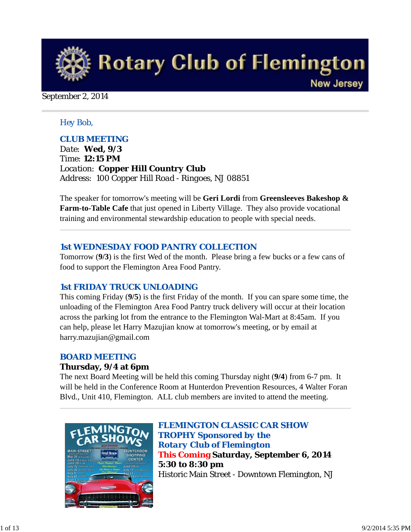

#### September 2, 2014

#### *Hey Bob,*

#### *CLUB MEETING*

*Date: Wed, 9/3 Time: 12:15 PM Location: Copper Hill Country Club Address: 100 Copper Hill Road - Ringoes, NJ 08851*

The speaker for tomorrow's meeting will be **Geri Lordi** from **Greensleeves Bakeshop & Farm-to-Table Cafe** that just opened in Liberty Village. They also provide vocational training and environmental stewardship education to people with special needs.

#### *1st WEDNESDAY FOOD PANTRY COLLECTION*

Tomorrow (**9/3**) is the first Wed of the month. Please bring a few bucks or a few cans of food to support the Flemington Area Food Pantry.

## *1st FRIDAY TRUCK UNLOADING*

This coming Friday (**9/5**) is the first Friday of the month. If you can spare some time, the unloading of the Flemington Area Food Pantry truck delivery will occur at their location across the parking lot from the entrance to the Flemington Wal-Mart at 8:45am. If you can help, please let Harry Mazujian know at tomorrow's meeting, or by email at harry.mazujian@gmail.com

#### *BOARD MEETING*

#### **Thursday, 9/4 at 6pm**

The next Board Meeting will be held this coming Thursday night (**9/4**) from 6-7 pm. It will be held in the Conference Room at Hunterdon Prevention Resources, 4 Walter Foran Blvd., Unit 410, Flemington. ALL club members are invited to attend the meeting.



*FLEMINGTON CLASSIC CAR SHOW TROPHY Sponsored by the Rotary Club of Flemington* **This Coming Saturday, September 6, 2014 5:30 to 8:30 pm** Historic Main Street - Downtown Flemington, NJ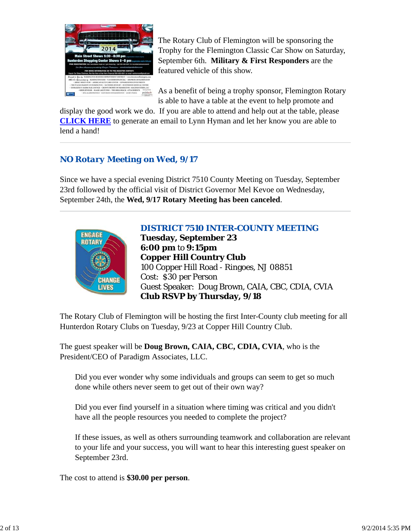

The Rotary Club of Flemington will be sponsoring the Trophy for the Flemington Classic Car Show on Saturday, September 6th. **Military & First Responders** are the featured vehicle of this show.

As a benefit of being a trophy sponsor, Flemington Rotary is able to have a table at the event to help promote and

display the good work we do. If you are able to attend and help out at the table, please **CLICK HERE** to generate an email to Lynn Hyman and let her know you are able to lend a hand!

## *NO Rotary Meeting on Wed, 9/17*

Since we have a special evening District 7510 County Meeting on Tuesday, September 23rd followed by the official visit of District Governor Mel Kevoe on Wednesday, September 24th, the **Wed, 9/17 Rotary Meeting has been canceled**.



## *DISTRICT 7510 INTER-COUNTY MEETING*

**Tuesday, September 23 6:00 pm** to **9:15pm Copper Hill Country Club** 100 Copper Hill Road - Ringoes, NJ 08851 Cost: \$30 per Person Guest Speaker: Doug Brown, CAIA, CBC, CDIA, CVIA **Club RSVP by Thursday, 9/18**

The Rotary Club of Flemington will be hosting the first Inter-County club meeting for all Hunterdon Rotary Clubs on Tuesday, 9/23 at Copper Hill Country Club.

The guest speaker will be **Doug Brown, CAIA, CBC, CDIA, CVIA**, who is the President/CEO of Paradigm Associates, LLC.

Did you ever wonder why some individuals and groups can seem to get so much done while others never seem to get out of their own way?

Did you ever find yourself in a situation where timing was critical and you didn't have all the people resources you needed to complete the project?

If these issues, as well as others surrounding teamwork and collaboration are relevant to your life and your success, you will want to hear this interesting guest speaker on September 23rd.

The cost to attend is **\$30.00 per person**.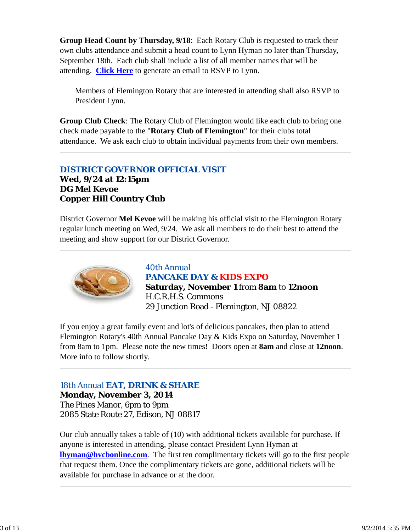**Group Head Count by Thursday, 9/18**: Each Rotary Club is requested to track their own clubs attendance and submit a head count to Lynn Hyman no later than Thursday, September 18th. Each club shall include a list of all member names that will be attending. **Click Here** to generate an email to RSVP to Lynn.

Members of Flemington Rotary that are interested in attending shall also RSVP to President Lynn.

**Group Club Check**: The Rotary Club of Flemington would like each club to bring one check made payable to the "**Rotary Club of Flemington**" for their clubs total attendance. We ask each club to obtain individual payments from their own members.

## *DISTRICT GOVERNOR OFFICIAL VISIT* **Wed, 9/24 at 12:15pm DG Mel Kevoe Copper Hill Country Club**

District Governor **Mel Kevoe** will be making his official visit to the Flemington Rotary regular lunch meeting on Wed, 9/24. We ask all members to do their best to attend the meeting and show support for our District Governor.



*40th Annual PANCAKE DAY & KIDS EXPO* **Saturday, November 1** from **8am** to **12noon** H.C.R.H.S. Commons 29 Junction Road - Flemington, NJ 08822

If you enjoy a great family event and lot's of delicious pancakes, then plan to attend Flemington Rotary's 40th Annual Pancake Day & Kids Expo on Saturday, November 1 from 8am to 1pm. Please note the new times! Doors open at **8am** and close at **12noon**. More info to follow shortly.

## *18th Annual EAT, DRINK & SHARE*

**Monday, November 3, 2014** The Pines Manor, 6pm to 9pm 2085 State Route 27, Edison, NJ 08817

Our club annually takes a table of (10) with additional tickets available for purchase. If anyone is interested in attending, please contact President Lynn Hyman at **lhyman@hvcbonline.com**. The first ten complimentary tickets will go to the first people that request them. Once the complimentary tickets are gone, additional tickets will be available for purchase in advance or at the door.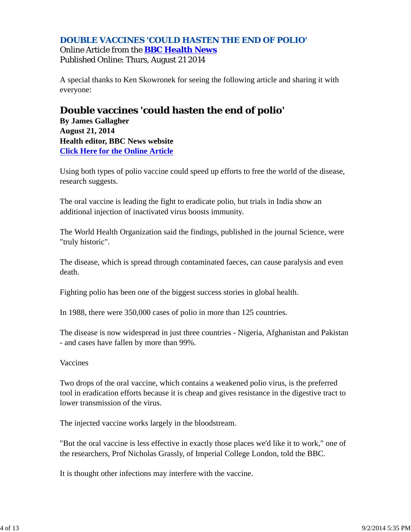## *DOUBLE VACCINES 'COULD HASTEN THE END OF POLIO'* Online Article from the **BBC Health News**

Published Online: Thurs, August 21 2014

A special thanks to Ken Skowronek for seeing the following article and sharing it with everyone:

## **Double vaccines 'could hasten the end of polio'**

**By James Gallagher August 21, 2014 Health editor, BBC News website Click Here for the Online Article**

Using both types of polio vaccine could speed up efforts to free the world of the disease, research suggests.

The oral vaccine is leading the fight to eradicate polio, but trials in India show an additional injection of inactivated virus boosts immunity.

The World Health Organization said the findings, published in the journal Science, were "truly historic".

The disease, which is spread through contaminated faeces, can cause paralysis and even death.

Fighting polio has been one of the biggest success stories in global health.

In 1988, there were 350,000 cases of polio in more than 125 countries.

The disease is now widespread in just three countries - Nigeria, Afghanistan and Pakistan - and cases have fallen by more than 99%.

## Vaccines

Two drops of the oral vaccine, which contains a weakened polio virus, is the preferred tool in eradication efforts because it is cheap and gives resistance in the digestive tract to lower transmission of the virus.

The injected vaccine works largely in the bloodstream.

"But the oral vaccine is less effective in exactly those places we'd like it to work," one of the researchers, Prof Nicholas Grassly, of Imperial College London, told the BBC.

It is thought other infections may interfere with the vaccine.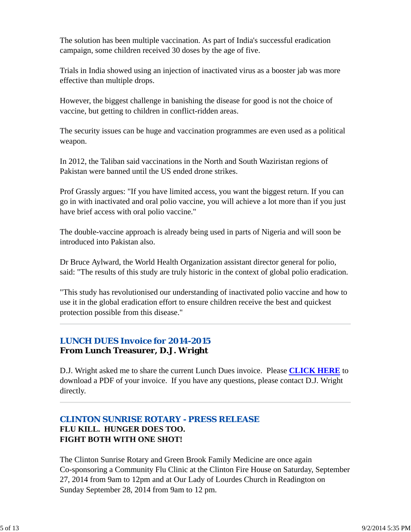The solution has been multiple vaccination. As part of India's successful eradication campaign, some children received 30 doses by the age of five.

Trials in India showed using an injection of inactivated virus as a booster jab was more effective than multiple drops.

However, the biggest challenge in banishing the disease for good is not the choice of vaccine, but getting to children in conflict-ridden areas.

The security issues can be huge and vaccination programmes are even used as a political weapon.

In 2012, the Taliban said vaccinations in the North and South Waziristan regions of Pakistan were banned until the US ended drone strikes.

Prof Grassly argues: "If you have limited access, you want the biggest return. If you can go in with inactivated and oral polio vaccine, you will achieve a lot more than if you just have brief access with oral polio vaccine."

The double-vaccine approach is already being used in parts of Nigeria and will soon be introduced into Pakistan also.

Dr Bruce Aylward, the World Health Organization assistant director general for polio, said: "The results of this study are truly historic in the context of global polio eradication.

"This study has revolutionised our understanding of inactivated polio vaccine and how to use it in the global eradication effort to ensure children receive the best and quickest protection possible from this disease."

## *LUNCH DUES Invoice for 2014-2015*

## **From Lunch Treasurer, D.J. Wright**

D.J. Wright asked me to share the current Lunch Dues invoice. Please **CLICK HERE** to download a PDF of your invoice. If you have any questions, please contact D.J. Wright directly.

## *CLINTON SUNRISE ROTARY - PRESS RELEASE* **FLU KILL. HUNGER DOES TOO. FIGHT BOTH WITH ONE SHOT!**

The Clinton Sunrise Rotary and Green Brook Family Medicine are once again Co-sponsoring a Community Flu Clinic at the Clinton Fire House on Saturday, September 27, 2014 from 9am to 12pm and at Our Lady of Lourdes Church in Readington on Sunday September 28, 2014 from 9am to 12 pm.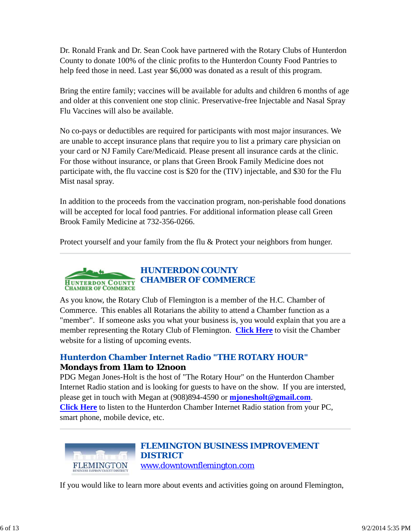Dr. Ronald Frank and Dr. Sean Cook have partnered with the Rotary Clubs of Hunterdon County to donate 100% of the clinic profits to the Hunterdon County Food Pantries to help feed those in need. Last year \$6,000 was donated as a result of this program.

Bring the entire family; vaccines will be available for adults and children 6 months of age and older at this convenient one stop clinic. Preservative-free Injectable and Nasal Spray Flu Vaccines will also be available.

No co-pays or deductibles are required for participants with most major insurances. We are unable to accept insurance plans that require you to list a primary care physician on your card or NJ Family Care/Medicaid. Please present all insurance cards at the clinic. For those without insurance, or plans that Green Brook Family Medicine does not participate with, the flu vaccine cost is \$20 for the (TIV) injectable, and \$30 for the Flu Mist nasal spray.

In addition to the proceeds from the vaccination program, non-perishable food donations will be accepted for local food pantries. For additional information please call Green Brook Family Medicine at 732-356-0266.

Protect yourself and your family from the flu & Protect your neighbors from hunger.



As you know, the Rotary Club of Flemington is a member of the H.C. Chamber of Commerce. This enables all Rotarians the ability to attend a Chamber function as a "member". If someone asks you what your business is, you would explain that you are a member representing the Rotary Club of Flemington. **Click Here** to visit the Chamber website for a listing of upcoming events.

## *Hunterdon Chamber Internet Radio "THE ROTARY HOUR"* **Mondays from 11am to 12noon**

PDG Megan Jones-Holt is the host of "The Rotary Hour" on the Hunterdon Chamber Internet Radio station and is looking for guests to have on the show. If you are intersted, please get in touch with Megan at (908)894-4590 or **mjonesholt@gmail.com**. **Click Here** to listen to the Hunterdon Chamber Internet Radio station from your PC, smart phone, mobile device, etc.



## *FLEMINGTON BUSINESS IMPROVEMENT DISTRICT* www.downtownflemington.com

If you would like to learn more about events and activities going on around Flemington,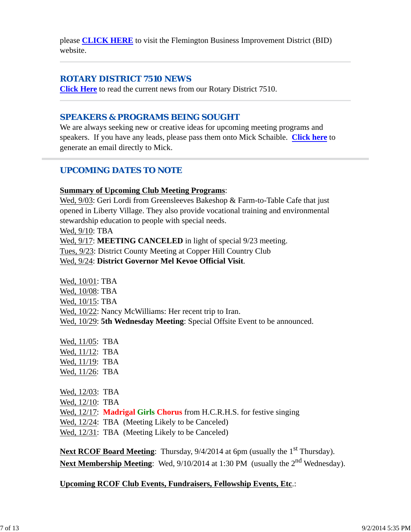please **CLICK HERE** to visit the Flemington Business Improvement District (BID) website.

## *ROTARY DISTRICT 7510 NEWS*

**Click Here** to read the current news from our Rotary District 7510.

## *SPEAKERS & PROGRAMS BEING SOUGHT*

We are always seeking new or creative ideas for upcoming meeting programs and speakers. If you have any leads, please pass them onto Mick Schaible. **Click here** to generate an email directly to Mick.

## *UPCOMING DATES TO NOTE*

## **Summary of Upcoming Club Meeting Programs**:

Wed, 9/03: Geri Lordi from Greensleeves Bakeshop & Farm-to-Table Cafe that just opened in Liberty Village. They also provide vocational training and environmental stewardship education to people with special needs.

Wed, 9/10: TBA

Wed,  $9/17$ : **MEETING CANCELED** in light of special  $9/23$  meeting.

Tues, 9/23: District County Meeting at Copper Hill Country Club

Wed, 9/24: **District Governor Mel Kevoe Official Visit**.

Wed, 10/01: TBA Wed, 10/08: TBA Wed, 10/15: TBA Wed,  $10/22$ : Nancy McWilliams: Her recent trip to Iran. Wed, 10/29: **5th Wednesday Meeting**: Special Offsite Event to be announced.

Wed, 11/05: TBA Wed, 11/12: TBA Wed, 11/19: TBA Wed, 11/26: TBA

Wed, 12/03: TBA Wed, 12/10: TBA Wed, 12/17: **Madrigal Girls Chorus** from H.C.R.H.S. for festive singing Wed,  $12/24$ : TBA (Meeting Likely to be Canceled) Wed, 12/31: TBA (Meeting Likely to be Canceled)

Next RCOF Board Meeting: Thursday, 9/4/2014 at 6pm (usually the 1<sup>st</sup> Thursday). Next Membership Meeting: Wed, 9/10/2014 at 1:30 PM (usually the 2<sup>nd</sup> Wednesday).

**Upcoming RCOF Club Events, Fundraisers, Fellowship Events, Etc**.: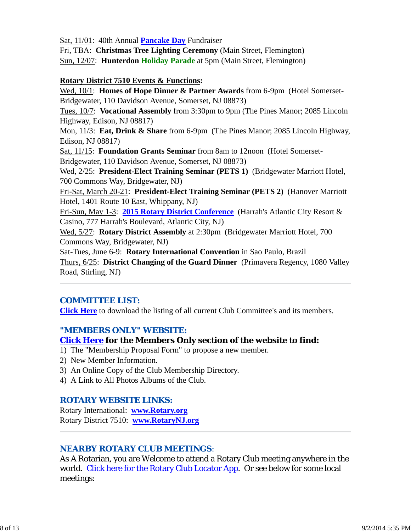Sat, 11/01: 40th Annual **Pancake Day** Fundraiser

Fri, TBA: **Christmas Tree Lighting Ceremony** (Main Street, Flemington) Sun, 12/07: **Hunterdon Holiday Parade** at 5pm (Main Street, Flemington)

#### **Rotary District 7510 Events & Functions:**

Wed, 10/1: **Homes of Hope Dinner & Partner Awards** from 6-9pm (Hotel Somerset-Bridgewater, 110 Davidson Avenue, Somerset, NJ 08873)

Tues, 10/7: **Vocational Assembly** from 3:30pm to 9pm (The Pines Manor; 2085 Lincoln Highway, Edison, NJ 08817)

Mon, 11/3: **Eat, Drink & Share** from 6-9pm (The Pines Manor; 2085 Lincoln Highway, Edison, NJ 08817)

Sat, 11/15: **Foundation Grants Seminar** from 8am to 12noon (Hotel Somerset-Bridgewater, 110 Davidson Avenue, Somerset, NJ 08873)

Wed, 2/25: **President-Elect Training Seminar (PETS 1)** (Bridgewater Marriott Hotel, 700 Commons Way, Bridgewater, NJ)

Fri-Sat, March 20-21: **President-Elect Training Seminar (PETS 2)** (Hanover Marriott Hotel, 1401 Route 10 East, Whippany, NJ)

Fri-Sun, May 1-3: **2015 Rotary District Conference** (Harrah's Atlantic City Resort & Casino, 777 Harrah's Boulevard, Atlantic City, NJ)

Wed, 5/27: **Rotary District Assembly** at 2:30pm (Bridgewater Marriott Hotel, 700 Commons Way, Bridgewater, NJ)

Sat-Tues, June 6-9: **Rotary International Convention** in Sao Paulo, Brazil Thurs, 6/25: **District Changing of the Guard Dinner** (Primavera Regency, 1080 Valley Road, Stirling, NJ)

## *COMMITTEE LIST:*

**Click Here** to download the listing of all current Club Committee's and its members.

## *"MEMBERS ONLY" WEBSITE:*

#### **Click Here for the Members Only section of the website to find:**

1) The "Membership Proposal Form" to propose a new member.

- 2) New Member Information.
- 3) An Online Copy of the Club Membership Directory.
- 4) A Link to All Photos Albums of the Club.

#### *ROTARY WEBSITE LINKS:*

Rotary International: **www.Rotary.org** Rotary District 7510: **www.RotaryNJ.org**

## *NEARBY ROTARY CLUB MEETINGS:*

As A Rotarian, you are Welcome to attend a Rotary Club meeting anywhere in the world. Click here for the Rotary Club Locator App. Or see below for some local meetings: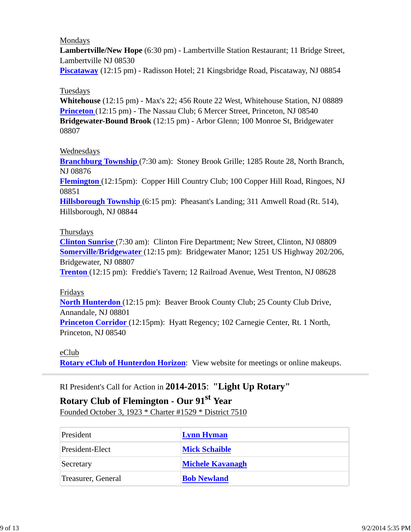#### Mondays

**Lambertville/New Hope** (6:30 pm) - Lambertville Station Restaurant; 11 Bridge Street, Lambertville NJ 08530

**Piscataway** (12:15 pm) - Radisson Hotel; 21 Kingsbridge Road, Piscataway, NJ 08854

#### Tuesdays

**Whitehouse** (12:15 pm) - Max's 22; 456 Route 22 West, Whitehouse Station, NJ 08889 **Princeton** (12:15 pm) - The Nassau Club; 6 Mercer Street, Princeton, NJ 08540 **Bridgewater-Bound Brook** (12:15 pm) - Arbor Glenn; 100 Monroe St, Bridgewater 08807

#### Wednesdays

**Branchburg Township** (7:30 am): Stoney Brook Grille; 1285 Route 28, North Branch, NJ 08876

**Flemington** (12:15pm): Copper Hill Country Club; 100 Copper Hill Road, Ringoes, NJ 08851

**Hillsborough Township** (6:15 pm): Pheasant's Landing; 311 Amwell Road (Rt. 514), Hillsborough, NJ 08844

#### Thursdays

**Clinton Sunrise** (7:30 am): Clinton Fire Department; New Street, Clinton, NJ 08809 **Somerville/Bridgewater** (12:15 pm): Bridgewater Manor; 1251 US Highway 202/206, Bridgewater, NJ 08807

**Trenton** (12:15 pm): Freddie's Tavern; 12 Railroad Avenue, West Trenton, NJ 08628

#### Fridays

**North Hunterdon** (12:15 pm): Beaver Brook County Club; 25 County Club Drive, Annandale, NJ 08801 **Princeton Corridor** (12:15pm): Hyatt Regency; 102 Carnegie Center, Rt. 1 North,

Princeton, NJ 08540

eClub

**Rotary eClub of Hunterdon Horizon**: View website for meetings or online makeups.

## RI President's Call for Action in **2014-2015**: **"Light Up Rotary"**

# **Rotary Club of Flemington - Our 91st Year**

Founded October 3, 1923 \* Charter #1529 \* District 7510

| President          | <b>Lynn Hyman</b>       |
|--------------------|-------------------------|
| President-Elect    | <b>Mick Schaible</b>    |
| Secretary          | <b>Michele Kavanagh</b> |
| Treasurer, General | <b>Bob Newland</b>      |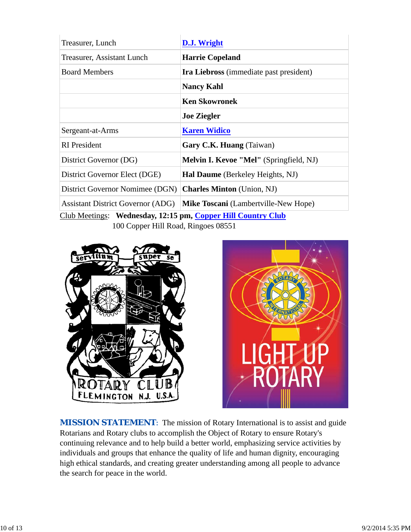| Treasurer, Lunch                                             | D.J. Wright                                 |  |  |
|--------------------------------------------------------------|---------------------------------------------|--|--|
| Treasurer, Assistant Lunch                                   | <b>Harrie Copeland</b>                      |  |  |
| <b>Board Members</b>                                         | Ira Liebross (immediate past president)     |  |  |
|                                                              | <b>Nancy Kahl</b>                           |  |  |
|                                                              | <b>Ken Skowronek</b>                        |  |  |
|                                                              | <b>Joe Ziegler</b>                          |  |  |
| Sergeant-at-Arms                                             | <b>Karen Widico</b>                         |  |  |
| <b>RI</b> President                                          | Gary C.K. Huang (Taiwan)                    |  |  |
| District Governor (DG)                                       | Melvin I. Kevoe "Mel" (Springfield, NJ)     |  |  |
| District Governor Elect (DGE)                                | <b>Hal Daume</b> (Berkeley Heights, NJ)     |  |  |
| District Governor Nomimee (DGN)                              | <b>Charles Minton</b> (Union, NJ)           |  |  |
| <b>Assistant District Governor (ADG)</b>                     | <b>Mike Toscani</b> (Lambertville-New Hope) |  |  |
| Club Meetings: Wednesday, 12:15 pm, Copper Hill Country Club |                                             |  |  |

100 Copper Hill Road, Ringoes 08551

![](_page_9_Picture_2.jpeg)

![](_page_9_Picture_3.jpeg)

**MISSION STATEMENT:** The mission of Rotary International is to assist and guide Rotarians and Rotary clubs to accomplish the Object of Rotary to ensure Rotary's continuing relevance and to help build a better world, emphasizing service activities by individuals and groups that enhance the quality of life and human dignity, encouraging high ethical standards, and creating greater understanding among all people to advance the search for peace in the world.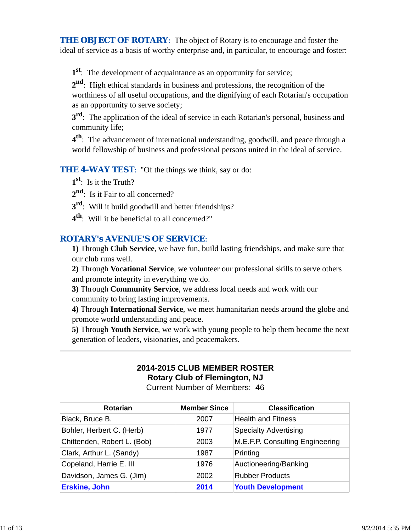**THE OBJECT OF ROTARY:** The object of Rotary is to encourage and foster the ideal of service as a basis of worthy enterprise and, in particular, to encourage and foster:

**1st**: The development of acquaintance as an opportunity for service;

**2nd**: High ethical standards in business and professions, the recognition of the worthiness of all useful occupations, and the dignifying of each Rotarian's occupation as an opportunity to serve society;

**3rd**: The application of the ideal of service in each Rotarian's personal, business and community life;

**4th**: The advancement of international understanding, goodwill, and peace through a world fellowship of business and professional persons united in the ideal of service.

*THE 4-WAY TEST*: "Of the things we think, say or do:

**1st**: Is it the Truth?

2<sup>nd</sup>: Is it Fair to all concerned?

- **3rd**: Will it build goodwill and better friendships?
- **4th**: Will it be beneficial to all concerned?"

## *ROTARY's AVENUE'S OF SERVICE*:

**1)** Through **Club Service**, we have fun, build lasting friendships, and make sure that our club runs well.

**2)** Through **Vocational Service**, we volunteer our professional skills to serve others and promote integrity in everything we do.

**3)** Through **Community Service**, we address local needs and work with our community to bring lasting improvements.

**4)** Through **International Service**, we meet humanitarian needs around the globe and promote world understanding and peace.

**5)** Through **Youth Service**, we work with young people to help them become the next generation of leaders, visionaries, and peacemakers.

## **2014-2015 CLUB MEMBER ROSTER Rotary Club of Flemington, NJ**

Current Number of Members: 46

| <b>Rotarian</b>             | <b>Member Since</b> | <b>Classification</b>           |
|-----------------------------|---------------------|---------------------------------|
| Black, Bruce B.             | 2007                | <b>Health and Fitness</b>       |
| Bohler, Herbert C. (Herb)   | 1977                | <b>Specialty Advertising</b>    |
| Chittenden, Robert L. (Bob) | 2003                | M.E.F.P. Consulting Engineering |
| Clark, Arthur L. (Sandy)    | 1987                | Printing                        |
| Copeland, Harrie E. III     | 1976                | Auctioneering/Banking           |
| Davidson, James G. (Jim)    | 2002                | <b>Rubber Products</b>          |
| <b>Erskine, John</b>        | 2014                | <b>Youth Development</b>        |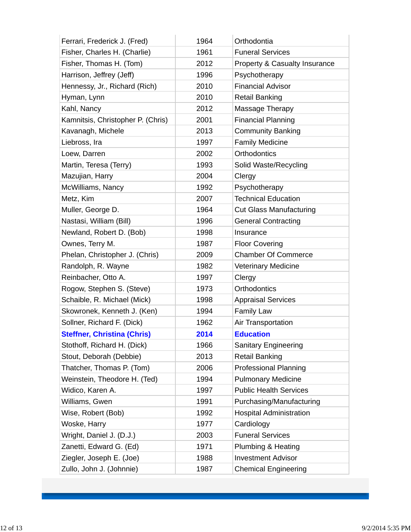| Ferrari, Frederick J. (Fred)       | 1964 | Orthodontia                    |
|------------------------------------|------|--------------------------------|
| Fisher, Charles H. (Charlie)       | 1961 | <b>Funeral Services</b>        |
| Fisher, Thomas H. (Tom)            | 2012 | Property & Casualty Insurance  |
| Harrison, Jeffrey (Jeff)           | 1996 | Psychotherapy                  |
| Hennessy, Jr., Richard (Rich)      | 2010 | <b>Financial Advisor</b>       |
| Hyman, Lynn                        | 2010 | <b>Retail Banking</b>          |
| Kahl, Nancy                        | 2012 | Massage Therapy                |
| Kamnitsis, Christopher P. (Chris)  | 2001 | <b>Financial Planning</b>      |
| Kavanagh, Michele                  | 2013 | <b>Community Banking</b>       |
| Liebross, Ira                      | 1997 | <b>Family Medicine</b>         |
| Loew, Darren                       | 2002 | <b>Orthodontics</b>            |
| Martin, Teresa (Terry)             | 1993 | Solid Waste/Recycling          |
| Mazujian, Harry                    | 2004 | Clergy                         |
| McWilliams, Nancy                  | 1992 | Psychotherapy                  |
| Metz, Kim                          | 2007 | <b>Technical Education</b>     |
| Muller, George D.                  | 1964 | <b>Cut Glass Manufacturing</b> |
| Nastasi, William (Bill)            | 1996 | <b>General Contracting</b>     |
| Newland, Robert D. (Bob)           | 1998 | Insurance                      |
| Ownes, Terry M.                    | 1987 | <b>Floor Covering</b>          |
| Phelan, Christopher J. (Chris)     | 2009 | <b>Chamber Of Commerce</b>     |
| Randolph, R. Wayne                 | 1982 | <b>Veterinary Medicine</b>     |
| Reinbacher, Otto A.                | 1997 | Clergy                         |
| Rogow, Stephen S. (Steve)          | 1973 | <b>Orthodontics</b>            |
| Schaible, R. Michael (Mick)        | 1998 | <b>Appraisal Services</b>      |
| Skowronek, Kenneth J. (Ken)        | 1994 | <b>Family Law</b>              |
| Sollner, Richard F. (Dick)         | 1962 | Air Transportation             |
| <b>Steffner, Christina (Chris)</b> | 2014 | <b>Education</b>               |
| Stothoff, Richard H. (Dick)        | 1966 | <b>Sanitary Engineering</b>    |
| Stout, Deborah (Debbie)            | 2013 | <b>Retail Banking</b>          |
| Thatcher, Thomas P. (Tom)          | 2006 | <b>Professional Planning</b>   |
| Weinstein, Theodore H. (Ted)       | 1994 | <b>Pulmonary Medicine</b>      |
| Widico, Karen A.                   | 1997 | <b>Public Health Services</b>  |
| Williams, Gwen                     | 1991 | Purchasing/Manufacturing       |
| Wise, Robert (Bob)                 | 1992 | <b>Hospital Administration</b> |
| Woske, Harry                       | 1977 | Cardiology                     |
| Wright, Daniel J. (D.J.)           | 2003 | <b>Funeral Services</b>        |
| Zanetti, Edward G. (Ed)            | 1971 | Plumbing & Heating             |
| Ziegler, Joseph E. (Joe)           | 1988 | <b>Investment Advisor</b>      |
| Zullo, John J. (Johnnie)           | 1987 | <b>Chemical Engineering</b>    |